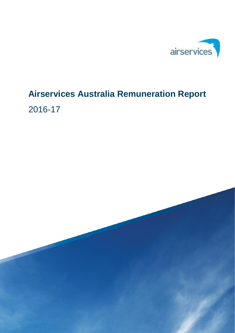

# **Airservices Australia Remuneration Report** 2016-17

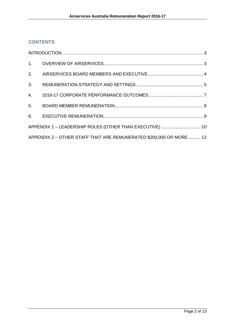# **CONTENTS**

| APPENDIX 1 - LEADERSHIP ROLES (OTHER THAN EXECUTIVE)  10            |  |
|---------------------------------------------------------------------|--|
| APPENDIX 2 - OTHER STAFF THAT ARE REMUNERATED \$200,000 OR MORE  12 |  |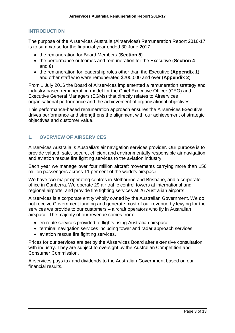#### <span id="page-2-0"></span>**INTRODUCTION**

The purpose of the Airservices Australia (Airservices) Remuneration Report 2016-17 is to summarise for the financial year ended 30 June 2017:

- the remuneration for Board Members (**Section 5**)
- the performance outcomes and remuneration for the Executive (**Section 4** and **6**)
- the remuneration for leadership roles other than the Executive (**Appendix 1**) and other staff who were remunerated \$200,000 and over (**Appendix 2**)

From 1 July 2016 the Board of Airservices implemented a remuneration strategy and industry-based remuneration model for the Chief Executive Officer (CEO) and Executive General Managers (EGMs) that directly relates to Airservices organisational performance and the achievement of organisational objectives.

This performance-based remuneration approach ensures the Airservices Executive drives performance and strengthens the alignment with our achievement of strategic objectives and customer value.

#### <span id="page-2-1"></span>**1. OVERVIEW OF AIRSERVICES**

Airservices Australia is Australia's air navigation services provider. Our purpose is to provide valued, safe, secure, efficient and environmentally responsible air navigation and aviation rescue fire fighting services to the aviation industry.

Each year we manage over four million aircraft movements carrying more than 156 million passengers across 11 per cent of the world's airspace.

We have two major operating centres in Melbourne and Brisbane, and a corporate office in Canberra. We operate 29 air traffic control towers at international and regional airports, and provide fire fighting services at 26 Australian airports.

Airservices is a corporate entity wholly owned by the Australian Government. We do not receive Government funding and generate most of our revenue by levying for the services we provide to our customers – aircraft operators who fly in Australian airspace. The majority of our revenue comes from:

- en route services provided to flights using Australian airspace
- terminal navigation services including tower and radar approach services
- aviation rescue fire fighting services.

Prices for our services are set by the Airservices Board after extensive consultation with industry. They are subject to oversight by the Australian Competition and Consumer Commission.

Airservices pays tax and dividends to the Australian Government based on our financial results.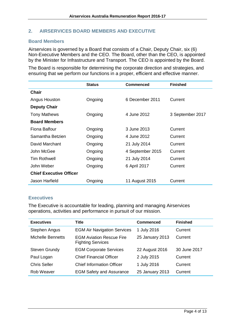#### <span id="page-3-0"></span>**2. AIRSERVICES BOARD MEMBERS AND EXECUTIVE**

#### **Board Members**

Airservices is governed by a Board that consists of a Chair, Deputy Chair, six (6) Non-Executive Members and the CEO. The Board, other than the CEO, is appointed by the Minister for Infrastructure and Transport. The CEO is appointed by the Board.

The Board is responsible for determining the corporate direction and strategies, and ensuring that we perform our functions in a proper, efficient and effective manner.

|                                | <b>Status</b> | <b>Commenced</b> | <b>Finished</b>  |
|--------------------------------|---------------|------------------|------------------|
| Chair                          |               |                  |                  |
| Angus Houston                  | Ongoing       | 6 December 2011  | Current          |
| <b>Deputy Chair</b>            |               |                  |                  |
| <b>Tony Mathews</b>            | Ongoing       | 4 June 2012      | 3 September 2017 |
| <b>Board Members</b>           |               |                  |                  |
| Fiona Balfour                  | Ongoing       | 3 June 2013      | Current          |
| Samantha Betzien               | Ongoing       | 4 June 2012      | Current          |
| David Marchant                 | Ongoing       | 21 July 2014     | Current          |
| John McGee                     | Ongoing       | 4 September 2015 | Current          |
| <b>Tim Rothwell</b>            | Ongoing       | 21 July 2014     | Current          |
| John Weber                     | Ongoing       | 6 April 2017     | Current          |
| <b>Chief Executive Officer</b> |               |                  |                  |
| Jason Harfield                 | Ongoing       | 11 August 2015   | Current          |

#### **Executives**

The Executive is accountable for leading, planning and managing Airservices operations, activities and performance in pursuit of our mission.

| <b>Executives</b>        | <b>Title</b>                                                | <b>Commenced</b> | <b>Finished</b> |
|--------------------------|-------------------------------------------------------------|------------------|-----------------|
| Stephen Angus            | <b>EGM Air Navigation Services</b>                          | 1 July 2016      | Current         |
| <b>Michelle Bennetts</b> | <b>EGM Aviation Rescue Fire</b><br><b>Fighting Services</b> | 25 January 2013  | Current         |
| <b>Steven Grundy</b>     | <b>EGM Corporate Services</b>                               | 22 August 2016   | 30 June 2017    |
| Paul Logan               | <b>Chief Financial Officer</b>                              | 2 July 2015      | Current         |
| <b>Chris Seller</b>      | <b>Chief Information Officer</b>                            | 1 July 2016      | Current         |
| Rob Weaver               | <b>EGM Safety and Assurance</b>                             | 25 January 2013  | Current         |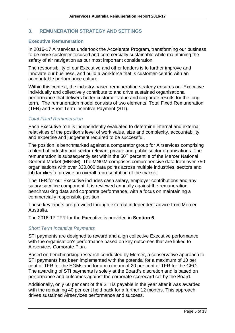#### <span id="page-4-0"></span>**3. REMUNERATION STRATEGY AND SETTINGS**

#### **Executive Remuneration**

In 2016-17 Airservices undertook the Accelerate Program, transforming our business to be more customer-focused and commercially sustainable while maintaining the safety of air navigation as our most important consideration.

The responsibility of our Executive and other leaders is to further improve and innovate our business, and build a workforce that is customer-centric with an accountable performance culture.

Within this context, the industry-based remuneration strategy ensures our Executive individually and collectively contribute to and drive sustained organisational performance that delivers better customer value and corporate results for the long term. The remuneration model consists of two elements: Total Fixed Remuneration (TFR) and Short Term Incentive Payment (STI).

#### *Total Fixed Remuneration*

Each Executive role is independently evaluated to determine internal and external relativities of the position's level of work value, size and complexity, accountability, and expertise and judgement required to be successful.

The position is benchmarked against a comparator group for Airservices comprising a blend of industry and sector relevant private and public sector organisations. The remuneration is subsequently set within the  $50<sup>th</sup>$  percentile of the Mercer National General Market (MNGM). The MNGM comprises comprehensive data from over 750 organisations with over 330,000 data points across multiple industries, sectors and job families to provide an overall representation of the market.

The TFR for our Executive includes cash salary, employer contributions and any salary sacrifice component. It is reviewed annually against the remuneration benchmarking data and corporate performance, with a focus on maintaining a commercially responsible position.

These key inputs are provided through external independent advice from Mercer Australia.

The 2016-17 TFR for the Executive is provided in **Section 6**.

#### *Short Term Incentive Payments*

STI payments are designed to reward and align collective Executive performance with the organisation's performance based on key outcomes that are linked to Airservices Corporate Plan.

Based on benchmarking research conducted by Mercer, a conservative approach to STI payments has been implemented with the potential for a maximum of 10 per cent of TFR for the EGMs and for a maximum of 20 per cent of TFR for the CEO. The awarding of STI payments is solely at the Board's discretion and is based on performance and outcomes against the corporate scorecard set by the Board.

Additionally, only 60 per cent of the STI is payable in the year after it was awarded with the remaining 40 per cent held back for a further 12 months. This approach drives sustained Airservices performance and success.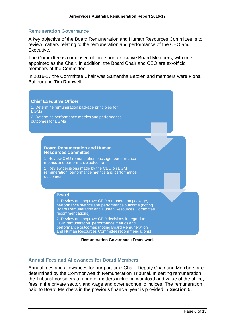#### **Remuneration Governance**

A key objective of the Board Remuneration and Human Resources Committee is to review matters relating to the remuneration and performance of the CEO and Executive.

The Committee is comprised of three non-executive Board Members, with one appointed as the Chair. In addition, the Board Chair and CEO are ex-officio members of the Committee.

In 2016-17 the Committee Chair was Samantha Betzien and members were Fiona Balfour and Tim Rothwell.





#### **Annual Fees and Allowances for Board Members**

Annual fees and allowances for our part-time Chair, Deputy Chair and Members are determined by the Commonwealth Remuneration Tribunal. In setting remuneration, the Tribunal considers a range of matters including workload and value of the office, fees in the private sector, and wage and other economic indices. The remuneration paid to Board Members in the previous financial year is provided in **Section 5**.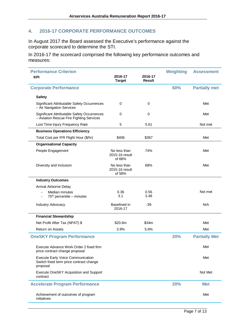# <span id="page-6-0"></span>**4. 2016-17 CORPORATE PERFORMANCE OUTCOMES**

In August 2017 the Board assessed the Executive's performance against the corporate scorecard to determine the STI.

In 2016-17 the scorecard comprised the following key performance outcomes and measures:

| <b>Performance Criterion</b>                                                                          |                                          |                          | <b>Weighting</b> | <b>Assessment</b>    |
|-------------------------------------------------------------------------------------------------------|------------------------------------------|--------------------------|------------------|----------------------|
| <b>KPI</b>                                                                                            | 2016-17<br><b>Target</b>                 | 2016-17<br><b>Result</b> |                  |                      |
| <b>Corporate Performance</b>                                                                          |                                          |                          | 60%              | <b>Partially met</b> |
| <b>Safety</b>                                                                                         |                                          |                          |                  |                      |
| Significant Attributable Safety Occurrences<br>- Air Navigation Services                              | 0                                        | 0                        |                  | Met                  |
| Significant Attributable Safety Occurrences<br>- Aviation Rescue Fire Fighting Services               | $\Omega$                                 | $\mathbf 0$              |                  | Met                  |
| Lost Time Injury Frequency Rate                                                                       | 5                                        | 5.61                     |                  | Not met              |
| <b>Business Operations Efficiency</b>                                                                 |                                          |                          |                  |                      |
| Total Cost per IFR Flight Hour (\$/hr)                                                                | \$406                                    | \$367                    |                  | Met                  |
| <b>Organisational Capacity</b>                                                                        |                                          |                          |                  |                      |
| People Engagement                                                                                     | No less than<br>2015-16 result<br>of 68% | 74%                      |                  | Met                  |
| Diversity and Inclusion                                                                               | No less than<br>2015-16 result<br>of 58% | 68%                      |                  | Met                  |
| <b>Industry Outcomes</b>                                                                              |                                          |                          |                  |                      |
| Arrival Airborne Delay                                                                                |                                          |                          |                  |                      |
| Median minutes<br>$\overline{\phantom{0}}$<br>$75th$ percentile – minutes<br>$\overline{\phantom{m}}$ | 0.36<br>3.1                              | 0.56<br>3.48             |                  | Not met              |
| Industry Advocacy                                                                                     | Baselined in<br>2016-17                  | $-39$                    |                  | N/A                  |
| <b>Financial Stewardship</b>                                                                          |                                          |                          |                  |                      |
| Net Profit After Tax (NPAT) \$                                                                        | \$20.6m                                  | \$34m                    |                  | Met                  |
| <b>Return on Assets</b>                                                                               | 3.9%                                     | 5.6%                     |                  | Met                  |
| <b>OneSKY Program Performance</b>                                                                     |                                          |                          | 20%              | <b>Partially Met</b> |
| Execute Advance Work Order 2 fixed firm<br>price contract change proposal                             |                                          |                          |                  | Met                  |
| <b>Execute Early Voice Communication</b><br>Switch fixed term price contract change<br>proposal       |                                          |                          |                  | Met                  |
| Execute OneSKY Acquisition and Support<br>contract                                                    |                                          |                          |                  | Not Met              |
| <b>Accelerate Program Performance</b>                                                                 |                                          |                          | 20%              | <b>Met</b>           |
| Achievement of outcomes of program<br>initiatives                                                     |                                          |                          |                  | Met                  |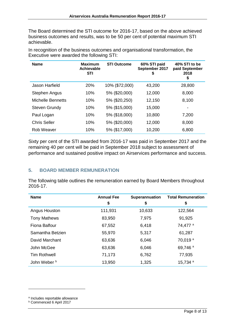The Board determined the STI outcome for 2016-17, based on the above achieved business outcomes and results, was to be 50 per cent of potential maximum STI achievable.

| <b>Name</b>          | <b>Maximum</b><br>Achievable<br><b>STI</b> | <b>STI Outcome</b> | 60% STI paid<br>September 2017<br>\$ | 40% STI to be<br>paid September<br>2018<br>\$ |
|----------------------|--------------------------------------------|--------------------|--------------------------------------|-----------------------------------------------|
| Jason Harfield       | 20%                                        | 10% (\$72,000)     | 43,200                               | 28,800                                        |
| <b>Stephen Angus</b> | 10%                                        | 5% (\$20,000)      | 12,000                               | 8,000                                         |
| Michelle Bennetts    | 10%                                        | 5% (\$20,250)      | 12,150                               | 8,100                                         |
| <b>Steven Grundy</b> | 10%                                        | 5% (\$15,000)      | 15,000                               | -                                             |
| Paul Logan           | 10%                                        | 5% (\$18,000)      | 10,800                               | 7,200                                         |
| <b>Chris Seller</b>  | 10%                                        | 5% (\$20,000)      | 12,000                               | 8,000                                         |
| Rob Weaver           | 10%                                        | 5% (\$17,000)      | 10,200                               | 6,800                                         |

In recognition of the business outcomes and organisational transformation, the Executive were awarded the following STI:

Sixty per cent of the STI awarded from 2016-17 was paid in September 2017 and the remaining 40 per cent will be paid in September 2018 subject to assessment of performance and sustained positive impact on Airservices performance and success.

### <span id="page-7-0"></span>**5. BOARD MEMBER REMUNERATION**

The following table outlines the remuneration earned by Board Members throughout 2016-17.

<span id="page-7-1"></span>

| <b>Name</b>             | <b>Annual Fee</b><br>\$ | Superannuation<br>\$ | <b>Total Remuneration</b><br>\$ |
|-------------------------|-------------------------|----------------------|---------------------------------|
| Angus Houston           | 111,931                 | 10,633               | 122,564                         |
| <b>Tony Mathews</b>     | 83,950                  | 7,975                | 91,925                          |
| <b>Fiona Balfour</b>    | 67,552                  | 6,418                | 74,477 <sup>a</sup>             |
| Samantha Betzien        | 55,970                  | 5,317                | 61,287                          |
| David Marchant          | 63,636                  | 6,046                | 70,019 <sup>a</sup>             |
| John McGee              | 63,636                  | 6,046                | 69,746 <sup>a</sup>             |
| <b>Tim Rothwell</b>     | 71,173                  | 6,762                | 77,935                          |
| John Weber <sup>b</sup> | 13,950                  | 1,325                | 15,734 <sup>a</sup>             |

-

<span id="page-7-2"></span><sup>a</sup> Includes reportable allowance

<span id="page-7-3"></span>**b** Commenced 6 April 2017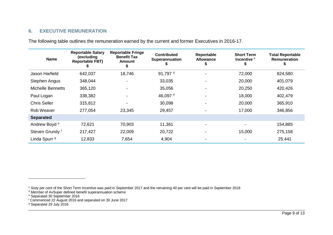# <span id="page-8-7"></span><span id="page-8-6"></span><span id="page-8-5"></span><span id="page-8-4"></span><span id="page-8-3"></span>**6. EXECUTIVE REMUNERATION**

The following table outlines the remuneration earned by the current and former Executives in 2016-17.

<span id="page-8-2"></span>

| <b>Name</b>              | <b>Reportable Salary</b><br>(excluding<br><b>Reportable FBT)</b> | <b>Reportable Fringe</b><br><b>Benefit Tax</b><br>Amount<br>э | <b>Contributed</b><br><b>Superannuation</b> | Reportable<br><b>Allowance</b> | <b>Short Term</b><br>Incentive c | <b>Total Reportable</b><br>Remuneration |
|--------------------------|------------------------------------------------------------------|---------------------------------------------------------------|---------------------------------------------|--------------------------------|----------------------------------|-----------------------------------------|
| Jason Harfield           | 642,037                                                          | 18,746                                                        | 91,797 <sup>d</sup>                         |                                | 72,000                           | 824,580                                 |
| Stephen Angus            | 348,044                                                          |                                                               | 33,035                                      |                                | 20,000                           | 401,079                                 |
| <b>Michelle Bennetts</b> | 365,120                                                          |                                                               | 35,056                                      |                                | 20,250                           | 420,426                                 |
| Paul Logan               | 338,382                                                          |                                                               | 46,097 <sup>d</sup>                         |                                | 18,000                           | 402,479                                 |
| <b>Chris Seller</b>      | 315,812                                                          |                                                               | 30,098                                      |                                | 20,000                           | 365,910                                 |
| Rob Weaver               | 277,054                                                          | 23,345                                                        | 29,457                                      |                                | 17,000                           | 346,856                                 |
| <b>Separated</b>         |                                                                  |                                                               |                                             |                                |                                  |                                         |
| Andrew Boyd <sup>e</sup> | 72,621                                                           | 70,903                                                        | 11,361                                      |                                |                                  | 154,885                                 |
| Steven Grundy f          | 217,427                                                          | 22,009                                                        | 20,722                                      |                                | 15,000                           | 275,158                                 |
| Linda Spurr <sup>9</sup> | 12,833                                                           | 7,654                                                         | 4,904                                       |                                |                                  | 25,441                                  |

<span id="page-8-0"></span> $\overline{a}$ 

 $^\circ$  Sixty per cent of the Short Term Incentive was paid in September 2017 and the remaining 40 per cent will be paid in September 2018

<sup>&</sup>lt;sup>d</sup> Member of AvSuper defined benefit superannuation scheme

<sup>e</sup> Separated 30 September 2016

<sup>f</sup> Commenced 22 August 2016 and separated on 30 June 2017

<span id="page-8-1"></span><sup>&</sup>lt;sup>9</sup> Separated 29 July 2016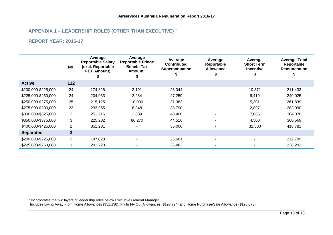# <span id="page-9-1"></span><span id="page-9-0"></span>**APPENDIX 1 – LEADERSHIP ROLES (OTHER THAN EXECUTIVE) [h](#page-9-0)**

#### **REPORT YEAR: 2016-17**

-

|                     | No.            | Average<br><b>Reportable Salary</b><br>(excl. Reportable<br><b>FBT Amount)</b> | Average<br><b>Reportable Fringe</b><br><b>Benefit Tax</b><br>Amount ' | Average<br><b>Contributed</b><br><b>Superannuation</b> | Average<br>Reportable<br><b>Allowance</b><br>S | Average<br><b>Short Term</b><br><b>Incentive</b> | <b>Average Total</b><br>Reportable<br>Remuneration |
|---------------------|----------------|--------------------------------------------------------------------------------|-----------------------------------------------------------------------|--------------------------------------------------------|------------------------------------------------|--------------------------------------------------|----------------------------------------------------|
| <b>Active</b>       | 112            |                                                                                |                                                                       |                                                        |                                                |                                                  |                                                    |
| \$200,000-\$225,000 | 24             | 174,826                                                                        | 3,191                                                                 | 23,044                                                 |                                                | 10,371                                           | 211,433                                            |
| \$225,000-\$250,000 | 24             | 204,063                                                                        | 2,284                                                                 | 27,259                                                 |                                                | 6,419                                            | 240,025                                            |
| \$250,000-\$275,000 | 35             | 215,125                                                                        | 10,030                                                                | 31,383                                                 |                                                | 5,301                                            | 261,839                                            |
| \$275,000-\$300,000 | 23             | 233,955                                                                        | 8,348                                                                 | 38,790                                                 |                                                | 2,897                                            | 283,990                                            |
| \$300,000-\$325,000 | $\overline{2}$ | 251,216                                                                        | 2,689                                                                 | 43,400                                                 | $\overline{\phantom{0}}$                       | 7,065                                            | 304,370                                            |
| \$350,000-\$375,000 | 3              | 225,282                                                                        | 86,270                                                                | 44,516                                                 | $\blacksquare$                                 | 4,500                                            | 360,569                                            |
| \$400,000-\$425,000 |                | 351,281                                                                        |                                                                       | 35,000                                                 |                                                | 32,500                                           | 418,781                                            |
| <b>Separated</b>    | 3              |                                                                                |                                                                       |                                                        |                                                |                                                  |                                                    |
| \$200,000-\$225,000 | $\overline{2}$ | 187,028                                                                        |                                                                       | 25,681                                                 |                                                |                                                  | 212,709                                            |
| \$225,000-\$250,000 |                | 201,720                                                                        |                                                                       | 36,482                                                 |                                                |                                                  | 238,202                                            |

<sup>i</sup> Includes Living Away From Home Allowances (\$51,136), Fly In Fly Out Allowances (\$193,724) and Home Purchase/Sale Allowance (\$128,073)

h Incorporates the two layers of leadership roles below Executive General Manager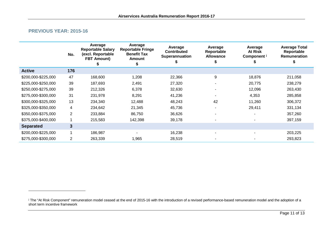#### <span id="page-10-0"></span>**PREVIOUS YEAR: 2015-16**

-

|                     | No.            | Average<br><b>Reportable Salary</b><br>(excl. Reportable<br><b>FBT Amount)</b> | Average<br><b>Reportable Fringe</b><br><b>Benefit Tax</b><br><b>Amount</b> | Average<br><b>Contributed</b><br>Superannuation | Average<br>Reportable<br><b>Allowance</b> | Average<br><b>At Risk</b><br>Component <sup>j</sup> | <b>Average Total</b><br>Reportable<br>Remuneration |
|---------------------|----------------|--------------------------------------------------------------------------------|----------------------------------------------------------------------------|-------------------------------------------------|-------------------------------------------|-----------------------------------------------------|----------------------------------------------------|
| <b>Active</b>       | 176            |                                                                                |                                                                            |                                                 |                                           |                                                     |                                                    |
| \$200,000-\$225,000 | 47             | 168,600                                                                        | 1,208                                                                      | 22,366                                          | 9                                         | 18,876                                              | 211,058                                            |
| \$225,000-\$250,000 | 39             | 187,693                                                                        | 2,491                                                                      | 27,320                                          |                                           | 20,775                                              | 238,279                                            |
| \$250,000-\$275,000 | 39             | 212,326                                                                        | 6,378                                                                      | 32,630                                          |                                           | 12,096                                              | 263,430                                            |
| \$275,000-\$300,000 | 31             | 231,978                                                                        | 8,291                                                                      | 41,236                                          |                                           | 4,353                                               | 285,858                                            |
| \$300,000-\$325,000 | 13             | 234,340                                                                        | 12,488                                                                     | 48,243                                          | 42                                        | 11,260                                              | 306,372                                            |
| \$325,000-\$350,000 | 4              | 234,642                                                                        | 21,345                                                                     | 45,736                                          |                                           | 29,411                                              | 331,134                                            |
| \$350,000-\$375,000 | $\overline{2}$ | 233,884                                                                        | 86,750                                                                     | 36,626                                          |                                           |                                                     | 357,260                                            |
| \$375,000-\$400,000 |                | 215,583                                                                        | 142,398                                                                    | 39,178                                          |                                           |                                                     | 397,159                                            |
| <b>Separated</b>    | 3              |                                                                                |                                                                            |                                                 |                                           |                                                     |                                                    |
| \$200,000-\$225,000 |                | 186,987                                                                        |                                                                            | 16,238                                          |                                           |                                                     | 203,225                                            |
| \$275,000-\$300,000 | $\overline{2}$ | 263,339                                                                        | 1,965                                                                      | 28,519                                          |                                           |                                                     | 293,823                                            |

<sup>&</sup>lt;sup>j</sup> The "At Risk Component" remuneration model ceased at the end of 2015-16 with the introduction of a revised performance-based remuneration model and the adoption of a short term incentive framework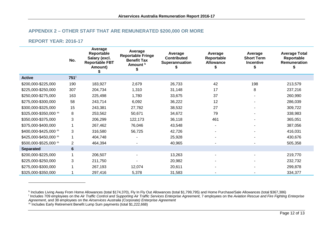#### <span id="page-11-3"></span><span id="page-11-2"></span><span id="page-11-1"></span>**APPENDIX 2 – OTHER STAFF THAT ARE REMUNERATED \$200,000 OR MORE**

#### **REPORT YEAR: 2016-17**

<span id="page-11-0"></span>-

|                       | No.            | Average<br>Reportable<br>Salary (excl.<br><b>Reportable FBT</b><br>Amount) | Average<br><b>Reportable Fringe</b><br><b>Benefit Tax</b><br>Amount <sup>k</sup> | Average<br><b>Contributed</b><br>Superannuation | Average<br>Reportable<br><b>Allowance</b> | Average<br><b>Short Term</b><br><b>Incentive</b> | <b>Average Total</b><br>Reportable<br>Remuneration |
|-----------------------|----------------|----------------------------------------------------------------------------|----------------------------------------------------------------------------------|-------------------------------------------------|-------------------------------------------|--------------------------------------------------|----------------------------------------------------|
| <b>Active</b>         | 751'           |                                                                            |                                                                                  |                                                 |                                           |                                                  |                                                    |
| \$200,000-\$225,000   | 190            | 183,927                                                                    | 2,679                                                                            | 26,733                                          | 42                                        | 198                                              | 213,579                                            |
| \$225,000-\$250,000   | 307            | 204,734                                                                    | 1,310                                                                            | 31,148                                          | 17                                        | 8                                                | 237,216                                            |
| \$250,000-\$275,000   | 163            | 225,498                                                                    | 1,780                                                                            | 33,675                                          | 37                                        |                                                  | 260,990                                            |
| \$275,000-\$300,000   | 58             | 243,714                                                                    | 6,092                                                                            | 36,222                                          | 12                                        |                                                  | 286,039                                            |
| \$300,000-\$325,000   | 15             | 243,381                                                                    | 27,782                                                                           | 38,532                                          | 27                                        |                                                  | 309,722                                            |
| \$325,000-\$350,000 m | 8              | 253,562                                                                    | 50,671                                                                           | 34,672                                          | 79                                        |                                                  | 338,983                                            |
| \$350,000-\$375,000   | 3              | 206,299                                                                    | 122,173                                                                          | 36,118                                          | 461                                       |                                                  | 365,051                                            |
| \$375,000-\$400,000   |                | 267,462                                                                    | 76,046                                                                           | 43,548                                          |                                           |                                                  | 387,056                                            |
| \$400,000-\$425,000 m | 3              | 316,580                                                                    | 56,725                                                                           | 42,726                                          |                                           |                                                  | 416,031                                            |
| \$425,000-\$450,000 m |                | 404,748                                                                    |                                                                                  | 25,928                                          |                                           |                                                  | 430,676                                            |
| \$500,000-\$525,000 m | $\overline{2}$ | 464,394                                                                    |                                                                                  | 40,965                                          |                                           |                                                  | 505,358                                            |
| <b>Separated</b>      | $6\phantom{1}$ |                                                                            |                                                                                  |                                                 |                                           |                                                  |                                                    |
| \$200,000-\$225,000   |                | 206,507                                                                    |                                                                                  | 13,263                                          |                                           |                                                  | 219,770                                            |
| \$225,000-\$250,000   | 3              | 211,750                                                                    |                                                                                  | 20,982                                          |                                           |                                                  | 232,732                                            |
| \$275,000-\$300,000   |                | 267,193                                                                    | 12,074                                                                           | 20,611                                          |                                           |                                                  | 299,878                                            |
| \$325,000-\$350,000   |                | 297,416                                                                    | 5,378                                                                            | 31,583                                          |                                           |                                                  | 334,377                                            |

<sup>k</sup> Includes Living Away From Home Allowances (total \$174,370), Fly In Fly Out Allowances (total \$1,799,795) and Home Purchase/Sale Allowances (total \$367,386)

<sup>l</sup> Includes 709 employees on the *Air Traffic Control and Supporting Air Traffic Services Enterprise Agreement*, 7 employees on the *Aviation Rescue and Fire Fighting Enterprise* 

*Agreement*, and 38 employees on the *Airservices Australia (Corporate) Enterprise Agreement*

m Includes Early Retirement Benefit Lump Sum payments (total \$1,222,668)